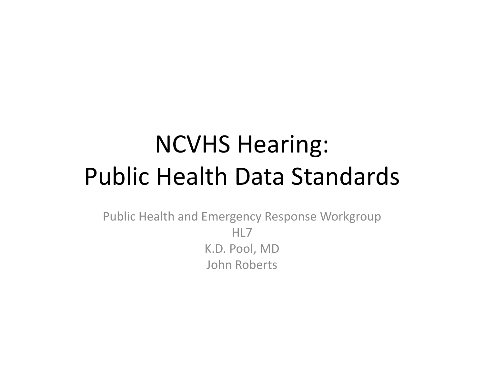## NCVHS Hearing: Public Health Data Standards

Public Health and Emergency Response Workgroup HL7K.D. Pool, MD John Roberts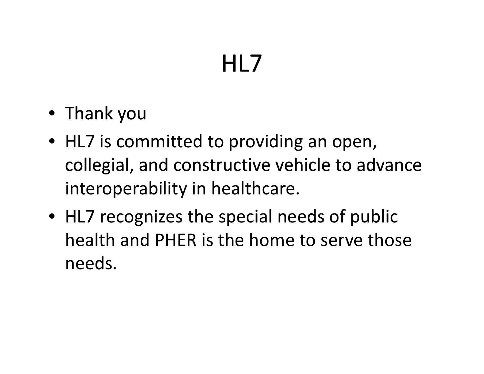# HL7

- Thank you
- HL7 is committed to providing an open, collegial, and constructive vehicle to advance interoperability in healthcare.
- $\bullet\,$  HL7 recognizes the special needs of public health and PHER is the home to serve those needs.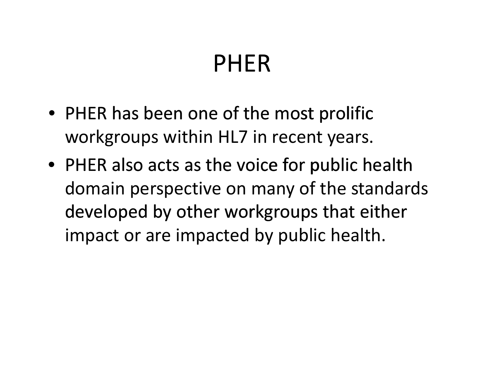## PHER

- PHER has been one of the most prolific workgroups within HL7 in recent years.
- PHER also acts as the voice for public health domain perspective on many of the standards developed by other workgroups that either impact or are impacted by public health.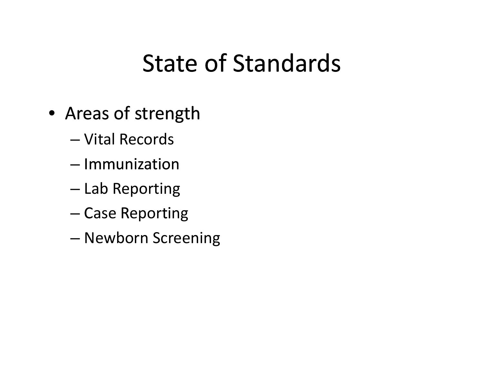- Areas of strength
	- Vital Records
	- Immunization
	- Lab Reporting
	- Case Reporting
	- –Newborn Screening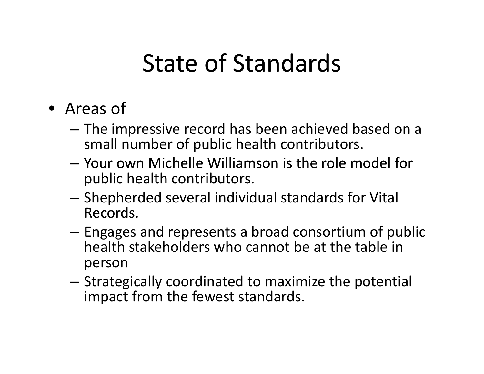- Areas of
	- – The impressive record has been achieved based on <sup>a</sup> small number of public health contributors.
	- Your own Michelle Williamson is the role model for public health contributors.
	- – $-$  Shepherded several individual standards for Vital Records.
	- – Engages and represents <sup>a</sup> broad consortium of public health stakeholders who cannot be at the table in person
	- – Strategically coordinated to maximize the potential impact from the fewest standards.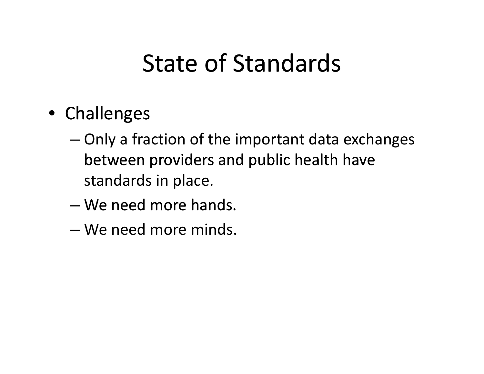- Challenges
	- – $-$  Only a fraction of the important data exchanges between providers and public health have standards in place.
	- We need more hands.
	- We need more minds.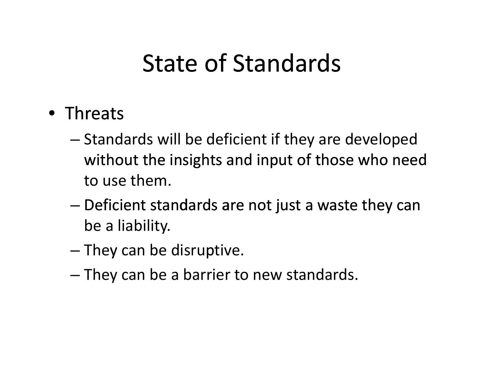#### • Threats

- – $-$  Standards will be deficient if they are developed without the insights and input of those who need to use them.
- Deficient standards are not just <sup>a</sup> waste they can be <sup>a</sup> liability.
- – $-$  They can be disruptive.
- – $-$  They can be a barrier to new standards.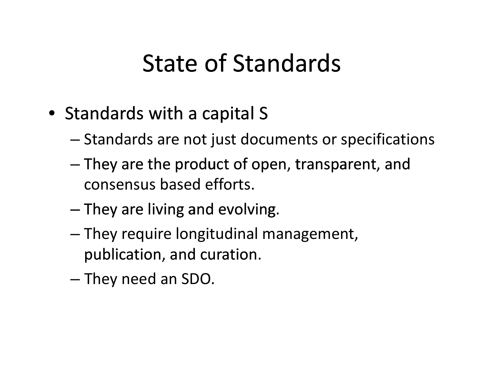- Standards with <sup>a</sup> capital S
	- – $-$  Standards are not just documents or specifications
	- – $-$  They are the product of open, transparent, and consensus based efforts.
	- $-$  They are living and evolving.
	- – They require longitudinal management, publication, and curation.
	- – $-$  They need an SDO.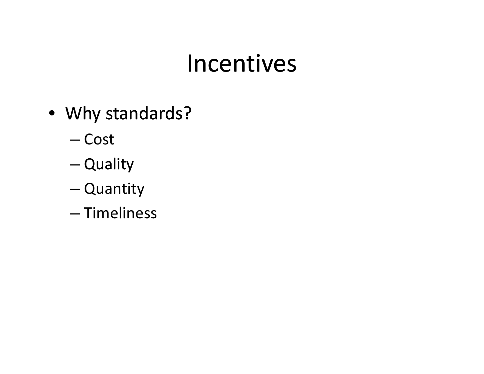#### Incentives

- Why standards?
	- Cost
	- –— Quality
	- Quantity
	- Timeliness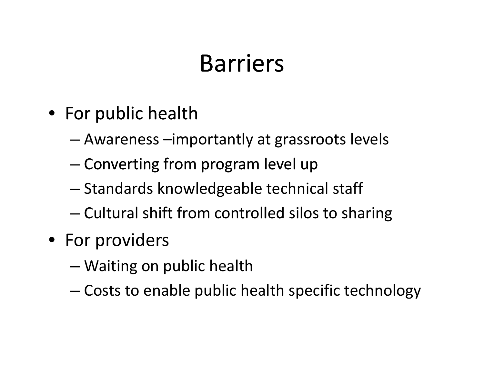## **Barriers**

- For public health
	- –Awareness –importantly at grassroots levels
	- –– Converting from program level up
	- $-$  Standards knowledgeable technical staff
	- $-$  Cultural shift from controlled silos to sharing
- For providers
	- Waiting on public health
	- –Costs to enable public health specific technology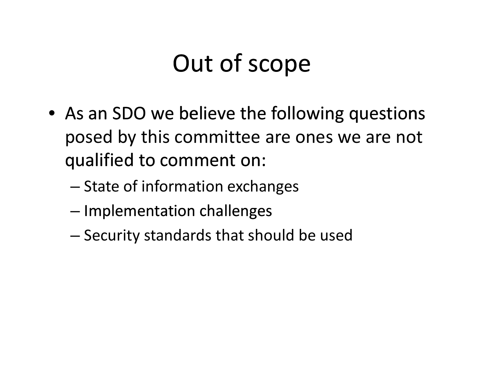# Out of scope

- As an SDO we believe the following questions posed by this committee are ones we are not qualified to comment on:
	- State of information exchanges
	- – $-$  Implementation challenges
	- – $-$  Security standards that should be used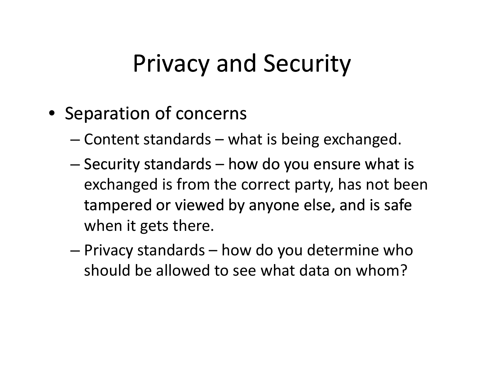## Privacy and Security

- Separation of concerns
	- –Content standards – what is being exchanged.
	- – $-$  Security standards  $-$  how do you ensure what is exchanged is from the correct party, has not been tampered or viewed by anyone else, and is safe when it gets there.
	- – Privacy standards – how do you determine who should be allowed to see what data on whom?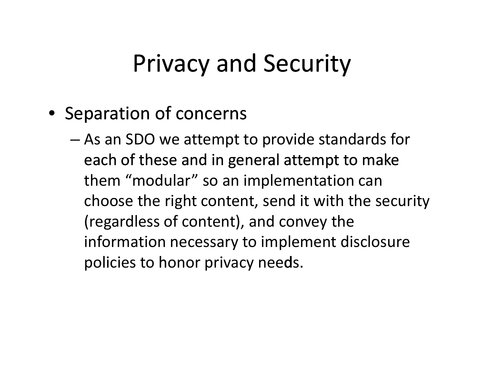## Privacy and Security

- Separation of concerns
	- As an SDO we attempt to provide standards for each of these and in general attempt to make them "modular" so an implementation can choose the right content, send it with the security (regardless of content), and convey the information necessary to implement disclosure policies to honor privacy needs.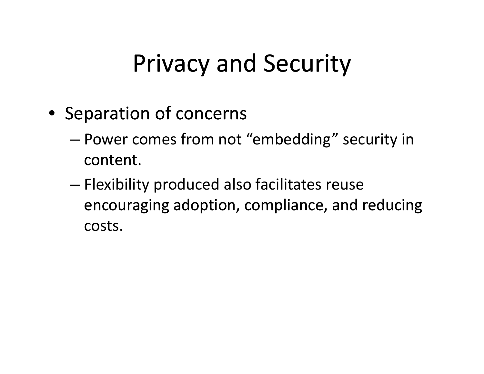## Privacy and Security

- Separation of concerns
	- Power comes from not "embedding" security in content.
	- – Flexibility produced also facilitates reuse encouraging adoption, compliance, and reducing costs.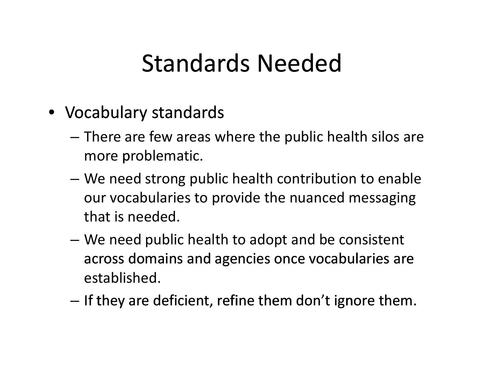- Vocabulary standards
	- There are few areas where the public health silos are more problematic.
	- – We need strong public health contribution to enable our vocabularies to provide the nuanced messaging that is needed.
	- – We need public health to adopt and be consistent across domains and agencies once vocabularies are established.
	- – $-$  If they are deficient, refine them don't ignore them.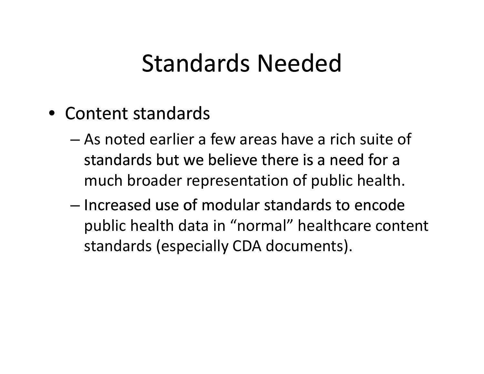- Content standards
	- As noted earlier <sup>a</sup> few areas have <sup>a</sup> rich suite of standards but we believe there is <sup>a</sup> need for <sup>a</sup> much broader representation of public health.
	- Increased use of modular standards to encode public health data in "normal" healthcare content standards (especially CDA documents).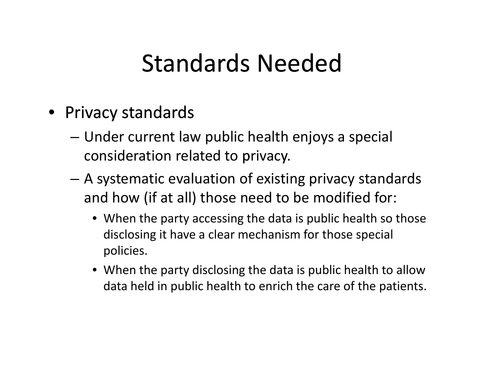- Privacy standards
	- Under current law public health enjoys <sup>a</sup> special consideration related to privacy.
	- A systematic evaluation of existing privacy standards and how (if at all) those need to be modified for:
		- When the party accessing the data is public health so those disclosing it have <sup>a</sup> clear mechanism for those special policies.
		- When the party disclosing the data is public health to allow data held in public health to enrich the care of the patients.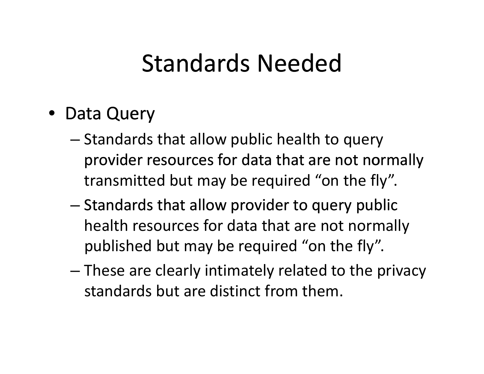- Data Query
	- Standards that allow public health to query provider resources for data that are not normally transmitted but may be required "on the fly".
	- Standards that allow provider to query public health resources for data that are not normally published but may be required "on the fly".
	- – These are clearly intimately related to the privacy standards but are distinct from them.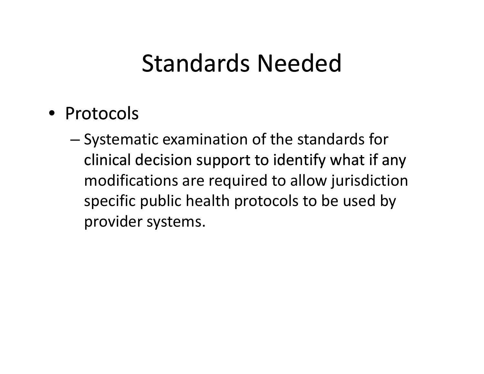- Protocols
	- – Systematic examination of the standards for clinical decision support to identify what if any modifications are required to allow jurisdiction specific public health protocols to be used by provider systems.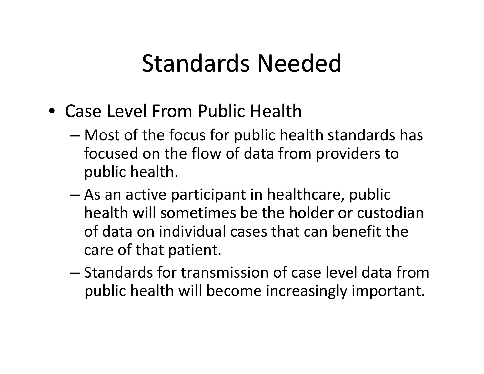- Case Level From Public Health
	- Most of the focus for public health standards has focused on the flow of data from providers to public health.
	- As an active participant in healthcare, public health will sometimes be the holder or custodian of data on individual cases that can benefit the care of that patient.
	- Standards for transmission of case level data frompublic health will become increasingly important.